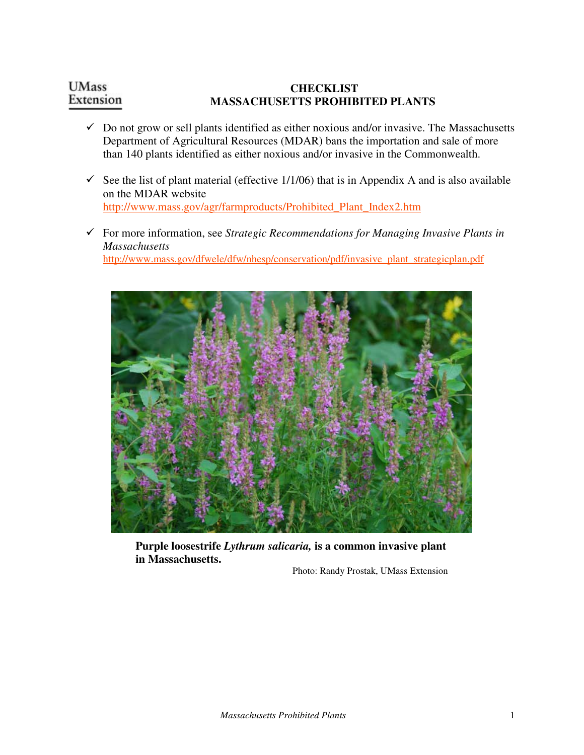## **UMass CHECKLIST**  Extension **MASSACHUSETTS PROHIBITED PLANTS**

- $\checkmark$  Do not grow or sell plants identified as either noxious and/or invasive. The Massachusetts Department of Agricultural Resources (MDAR) bans the importation and sale of more than 140 plants identified as either noxious and/or invasive in the Commonwealth.
- See the list of plant material (effective  $1/1/06$ ) that is in Appendix A and is also available on the MDAR website http://www.mass.gov/agr/farmproducts/Prohibited\_Plant\_Index2.htm
- For more information, see *Strategic Recommendations for Managing Invasive Plants in Massachusetts* http://www.mass.gov/dfwele/dfw/nhesp/conservation/pdf/invasive\_plant\_strategicplan.pdf



**Purple loosestrife** *Lythrum salicaria,* **is a common invasive plant in Massachusetts.** 

Photo: Randy Prostak, UMass Extension